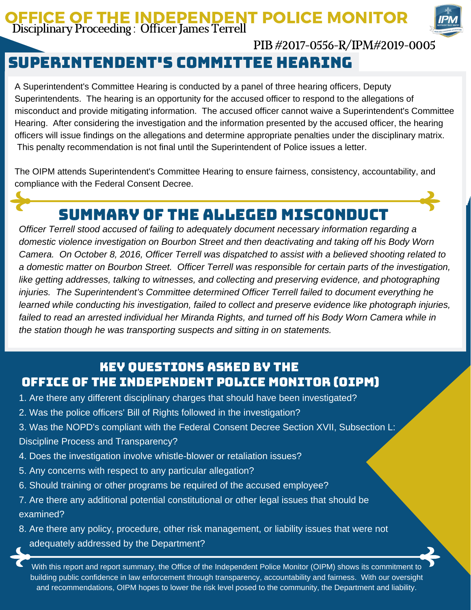### OFFICE OF THE INDEPENDENT POLICE MONITOR Disciplinary Proceeding : Officer James Terrell



### PIB#2017-0556-R/IPM#2019-0005

# Superintendent's committee hearing

A Superintendent's Committee Hearing is conducted by a panel of three hearing officers, Deputy Superintendents. The hearing is an opportunity for the accused officer to respond to the allegations of misconduct and provide mitigating information. The accused officer cannot waive a Superintendent's Committee Hearing. After considering the investigation and the information presented by the accused officer, the hearing officers will issue findings on the allegations and determine appropriate penalties under the disciplinary matrix. This penalty recommendation is not final until the Superintendent of Police issues a letter.

The OIPM attends Superintendent's Committee Hearing to ensure fairness, consistency, accountability, and compliance with the Federal Consent Decree.

## Summary of the Alleged Misconduct

*Officer Terrell stood accused of failing to adequately document necessary information regarding a domestic violence investigation on Bourbon Street and then deactivating and taking off his Body Worn Camera. On October 8, 2016, Officer Terrell was dispatched to assist with a believed shooting related to a domestic matter on Bourbon Street. Officer Terrell was responsible for certain parts of the investigation, like getting addresses, talking to witnesses, and collecting and preserving evidence, and photographing injuries. The Superintendent's Committee determined Officer Terrell failed to document everything he learned while conducting his investigation, failed to collect and preserve evidence like photograph injuries,* failed to read an arrested individual her Miranda Rights, and turned off his Body Worn Camera while in *the station though he was transporting suspects and sitting in on statements.*

### Key Questions Asked by the Office of the Independent Police Monitor (OIPM)

- 1. Are there any different disciplinary charges that should have been investigated?
- 2. Was the police officers' Bill of Rights followed in the investigation?
- 3. Was the NOPD's compliant with the Federal Consent Decree Section XVII, Subsection L: Discipline Process and Transparency?
- 4. Does the investigation involve whistle-blower or retaliation issues?
- 5. Any concerns with respect to any particular allegation?
- 6. Should training or other programs be required of the accused employee?
- 7. Are there any additional potential constitutional or other legal issues that should be examined?
- 8. Are there any policy, procedure, other risk management, or liability issues that were not adequately addressed by the Department?

With this report and report summary, the Office of the Independent Police Monitor (OIPM) shows its commitment to building public confidence in law enforcement through transparency, accountability and fairness. With our oversight and recommendations, OIPM hopes to lower the risk level posed to the community, the Department and liability.